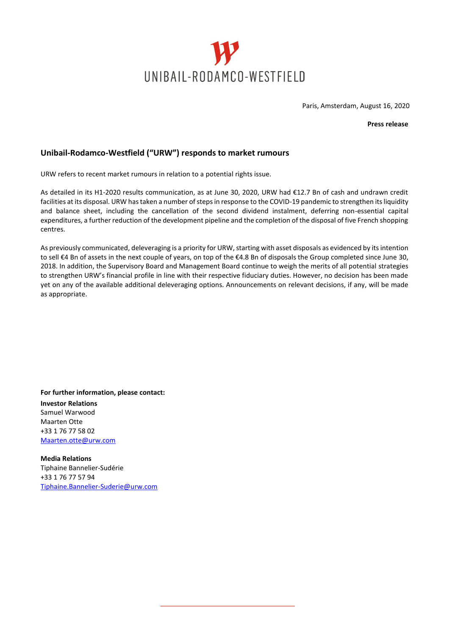

Paris, Amsterdam, August 16, 2020

**Press release**

## **Unibail-Rodamco-Westfield ("URW") responds to market rumours**

URW refers to recent market rumours in relation to a potential rights issue.

As detailed in its H1-2020 results communication, as at June 30, 2020, URW had €12.7 Bn of cash and undrawn credit facilities at its disposal. URW has taken a number of steps in response to the COVID-19 pandemic to strengthen its liquidity and balance sheet, including the cancellation of the second dividend instalment, deferring non-essential capital expenditures, a further reduction of the development pipeline and the completion of the disposal of five French shopping centres.

As previously communicated, deleveraging is a priority for URW, starting with asset disposals as evidenced by its intention to sell €4 Bn of assets in the next couple of years, on top of the €4.8 Bn of disposals the Group completed since June 30, 2018. In addition, the Supervisory Board and Management Board continue to weigh the merits of all potential strategies to strengthen URW's financial profile in line with their respective fiduciary duties. However, no decision has been made yet on any of the available additional deleveraging options. Announcements on relevant decisions, if any, will be made as appropriate.

**For further information, please contact: Investor Relations** Samuel Warwood Maarten Otte +33 1 76 77 58 02 [Maarten.otte@urw.com](mailto:Maarten.otte@urw.com)

**Media Relations** Tiphaine Bannelier-Sudérie +33 1 76 77 57 94 [Tiphaine.Bannelier-Suderie@urw.com](mailto:Tiphaine.Bannelier-Suderie@urw.com)